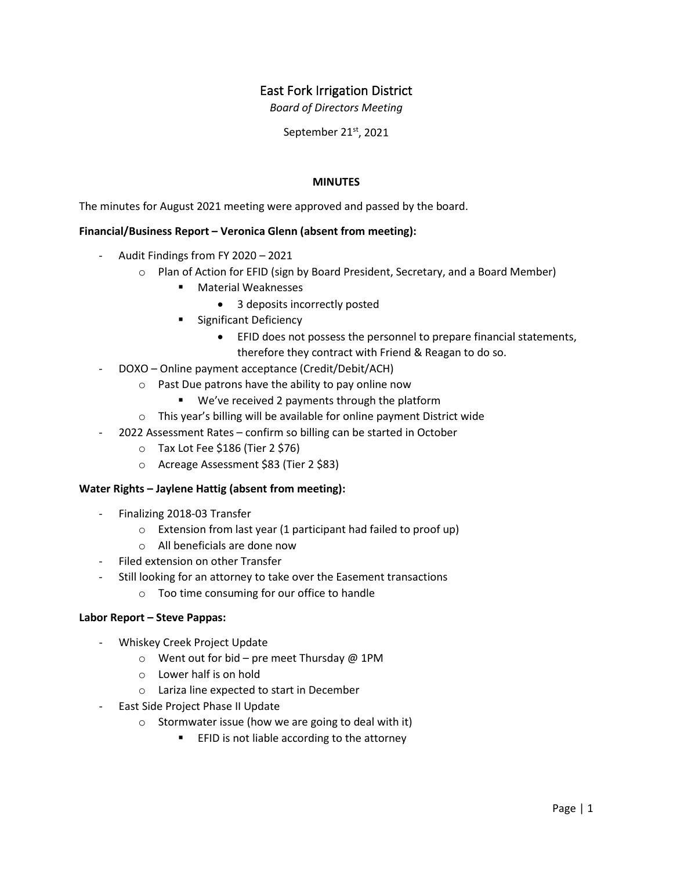# East Fork Irrigation District

*Board of Directors Meeting*

September 21<sup>st</sup>, 2021

## **MINUTES**

The minutes for August 2021 meeting were approved and passed by the board.

### **Financial/Business Report – Veronica Glenn (absent from meeting):**

- Audit Findings from FY 2020 2021
	- o Plan of Action for EFID (sign by Board President, Secretary, and a Board Member)
		- Material Weaknesses
			- 3 deposits incorrectly posted
		- **Significant Deficiency** 
			- EFID does not possess the personnel to prepare financial statements, therefore they contract with Friend & Reagan to do so.
- DOXO Online payment acceptance (Credit/Debit/ACH)
	- o Past Due patrons have the ability to pay online now
		- We've received 2 payments through the platform
	- o This year's billing will be available for online payment District wide
	- 2022 Assessment Rates confirm so billing can be started in October
		- o Tax Lot Fee \$186 (Tier 2 \$76)
		- o Acreage Assessment \$83 (Tier 2 \$83)

#### **Water Rights – Jaylene Hattig (absent from meeting):**

- Finalizing 2018-03 Transfer
	- o Extension from last year (1 participant had failed to proof up)
	- o All beneficials are done now
- Filed extension on other Transfer
	- Still looking for an attorney to take over the Easement transactions
		- o Too time consuming for our office to handle

#### **Labor Report – Steve Pappas:**

- Whiskey Creek Project Update
	- o Went out for bid pre meet Thursday @ 1PM
	- o Lower half is on hold
	- o Lariza line expected to start in December
- East Side Project Phase II Update
	- $\circ$  Stormwater issue (how we are going to deal with it)
		- **EFID is not liable according to the attorney**